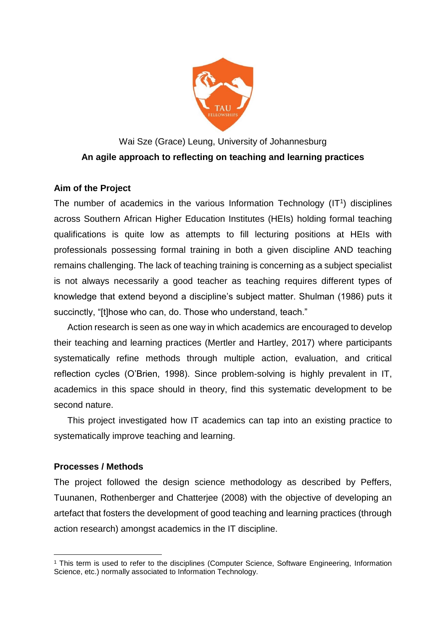

# Wai Sze (Grace) Leung, University of Johannesburg **An agile approach to reflecting on teaching and learning practices**

# **Aim of the Project**

The number of academics in the various Information Technology  $(IT<sup>1</sup>)$  disciplines across Southern African Higher Education Institutes (HEIs) holding formal teaching qualifications is quite low as attempts to fill lecturing positions at HEIs with professionals possessing formal training in both a given discipline AND teaching remains challenging. The lack of teaching training is concerning as a subject specialist is not always necessarily a good teacher as teaching requires different types of knowledge that extend beyond a discipline's subject matter. Shulman (1986) puts it succinctly, "[t]hose who can, do. Those who understand, teach."

Action research is seen as one way in which academics are encouraged to develop their teaching and learning practices (Mertler and Hartley, 2017) where participants systematically refine methods through multiple action, evaluation, and critical reflection cycles (O'Brien, 1998). Since problem-solving is highly prevalent in IT, academics in this space should in theory, find this systematic development to be second nature.

This project investigated how IT academics can tap into an existing practice to systematically improve teaching and learning.

### **Processes / Methods**

1

The project followed the design science methodology as described by Peffers, Tuunanen, Rothenberger and Chatterjee (2008) with the objective of developing an artefact that fosters the development of good teaching and learning practices (through action research) amongst academics in the IT discipline.

<sup>1</sup> This term is used to refer to the disciplines (Computer Science, Software Engineering, Information Science, etc.) normally associated to Information Technology.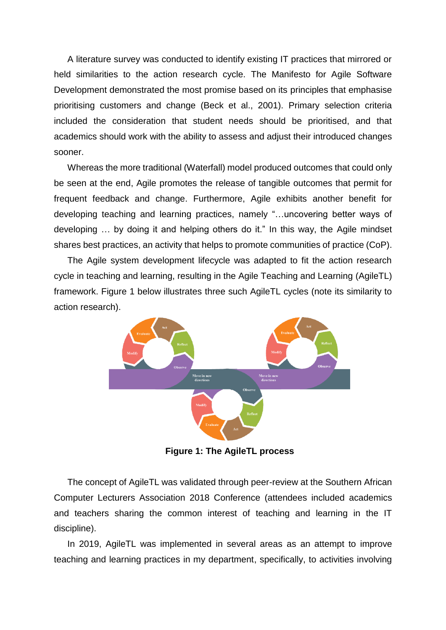A literature survey was conducted to identify existing IT practices that mirrored or held similarities to the action research cycle. The Manifesto for Agile Software Development demonstrated the most promise based on its principles that emphasise prioritising customers and change (Beck et al., 2001). Primary selection criteria included the consideration that student needs should be prioritised, and that academics should work with the ability to assess and adjust their introduced changes sooner.

Whereas the more traditional (Waterfall) model produced outcomes that could only be seen at the end, Agile promotes the release of tangible outcomes that permit for frequent feedback and change. Furthermore, Agile exhibits another benefit for developing teaching and learning practices, namely "…uncovering better ways of developing … by doing it and helping others do it." In this way, the Agile mindset shares best practices, an activity that helps to promote communities of practice (CoP).

The Agile system development lifecycle was adapted to fit the action research cycle in teaching and learning, resulting in the Agile Teaching and Learning (AgileTL) framework. Figure 1 below illustrates three such AgileTL cycles (note its similarity to action research).



**Figure 1: The AgileTL process**

The concept of AgileTL was validated through peer-review at the Southern African Computer Lecturers Association 2018 Conference (attendees included academics and teachers sharing the common interest of teaching and learning in the IT discipline).

In 2019, AgileTL was implemented in several areas as an attempt to improve teaching and learning practices in my department, specifically, to activities involving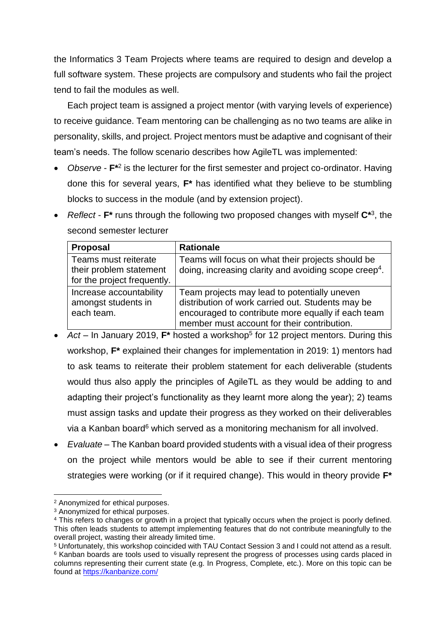the Informatics 3 Team Projects where teams are required to design and develop a full software system. These projects are compulsory and students who fail the project tend to fail the modules as well.

Each project team is assigned a project mentor (with varying levels of experience) to receive guidance. Team mentoring can be challenging as no two teams are alike in personality, skills, and project. Project mentors must be adaptive and cognisant of their team's needs. The follow scenario describes how AgileTL was implemented:

- Observe  $F^{\star 2}$  is the lecturer for the first semester and project co-ordinator. Having done this for several years, **F\*** has identified what they believe to be stumbling blocks to success in the module (and by extension project).
- *Reflect* **F\*** runs through the following two proposed changes with myself **C\***<sup>3</sup> , the second semester lecturer

| <b>Proposal</b>                                                                | <b>Rationale</b>                                                                                                                                                                                       |
|--------------------------------------------------------------------------------|--------------------------------------------------------------------------------------------------------------------------------------------------------------------------------------------------------|
| Teams must reiterate<br>their problem statement<br>for the project frequently. | Teams will focus on what their projects should be<br>doing, increasing clarity and avoiding scope creep <sup>4</sup> .                                                                                 |
| Increase accountability<br>amongst students in<br>each team.                   | Team projects may lead to potentially uneven<br>distribution of work carried out. Students may be<br>encouraged to contribute more equally if each team<br>member must account for their contribution. |

- Act In January 2019,  $F^*$  hosted a workshop<sup>5</sup> for 12 project mentors. During this workshop, **F\*** explained their changes for implementation in 2019: 1) mentors had to ask teams to reiterate their problem statement for each deliverable (students would thus also apply the principles of AgileTL as they would be adding to and adapting their project's functionality as they learnt more along the year); 2) teams must assign tasks and update their progress as they worked on their deliverables via a Kanban board<sup>6</sup> which served as a monitoring mechanism for all involved.
- *Evaluate* The Kanban board provided students with a visual idea of their progress on the project while mentors would be able to see if their current mentoring strategies were working (or if it required change). This would in theory provide **F\***

1

<sup>2</sup> Anonymized for ethical purposes.

<sup>&</sup>lt;sup>3</sup> Anonymized for ethical purposes.

<sup>&</sup>lt;sup>4</sup> This refers to changes or growth in a project that typically occurs when the project is poorly defined. This often leads students to attempt implementing features that do not contribute meaningfully to the overall project, wasting their already limited time.

<sup>5</sup> Unfortunately, this workshop coincided with TAU Contact Session 3 and I could not attend as a result. <sup>6</sup> Kanban boards are tools used to visually represent the progress of processes using cards placed in columns representing their current state (e.g. In Progress, Complete, etc.). More on this topic can be found at<https://kanbanize.com/>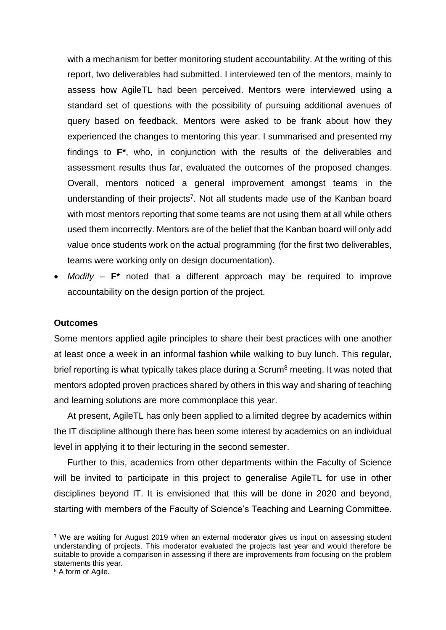with a mechanism for better monitoring student accountability. At the writing of this report, two deliverables had submitted. I interviewed ten of the mentors, mainly to assess how AgileTL had been perceived. Mentors were interviewed using a standard set of questions with the possibility of pursuing additional avenues of query based on feedback. Mentors were asked to be frank about how they experienced the changes to mentoring this year. I summarised and presented my findings to **F\***, who, in conjunction with the results of the deliverables and assessment results thus far, evaluated the outcomes of the proposed changes. Overall, mentors noticed a general improvement amongst teams in the understanding of their projects<sup>7</sup>. Not all students made use of the Kanban board with most mentors reporting that some teams are not using them at all while others used them incorrectly. Mentors are of the belief that the Kanban board will only add value once students work on the actual programming (for the first two deliverables, teams were working only on design documentation).

 *Modify* – **F\*** noted that a different approach may be required to improve accountability on the design portion of the project.

#### **Outcomes**

Some mentors applied agile principles to share their best practices with one another at least once a week in an informal fashion while walking to buy lunch. This regular, brief reporting is what typically takes place during a Scrum<sup>8</sup> meeting. It was noted that mentors adopted proven practices shared by others in this way and sharing of teaching and learning solutions are more commonplace this year.

At present, AgileTL has only been applied to a limited degree by academics within the IT discipline although there has been some interest by academics on an individual level in applying it to their lecturing in the second semester.

Further to this, academics from other departments within the Faculty of Science will be invited to participate in this project to generalise AgileTL for use in other disciplines beyond IT. It is envisioned that this will be done in 2020 and beyond, starting with members of the Faculty of Science's Teaching and Learning Committee.

1

 $7$  We are waiting for August 2019 when an external moderator gives us input on assessing student understanding of projects. This moderator evaluated the projects last year and would therefore be suitable to provide a comparison in assessing if there are improvements from focusing on the problem statements this year.

<sup>&</sup>lt;sup>8</sup> A form of Agile.